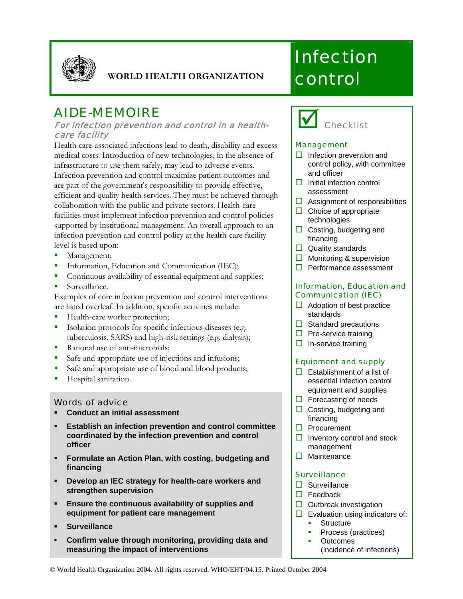

#### **WORLD HEALTH ORGANIZATION**

## AIDE-MEMOIRE

#### For infection prevention and control in a healthcare facility

Health care-associated infections lead to death, disability and excess medical costs. Introduction of new technologies, in the absence of infrastructure to use them safely, may lead to adverse events. Infection prevention and control maximize patient outcomes and are part of the government's responsibility to provide effective, efficient and quality health services. They must be achieved through collaboration with the public and private sectors. Health-care facilities must implement infection prevention and control policies supported by institutional management. An overall approach to an infection prevention and control policy at the health-care facility level is based upon:

- Management;
- **Information, Education and Communication (IEC);**
- Continuous availability of essential equipment and supplies;
- **Surveillance.**

Examples of core infection prevention and control interventions are listed overleaf. In addition, specific activities include:

- Health-care worker protection;
- Isolation protocols for specific infectious diseases (e.g. tuberculosis, SARS) and high-risk settings (e.g. dialysis);
- Rational use of anti-microbials;
- Safe and appropriate use of injections and infusions;
- Safe and appropriate use of blood and blood products;
- **Hospital sanitation.**

#### Words of advice

- **Conduct an initial assessment**
- **Establish an infection prevention and control committee coordinated by the infection prevention and control officer**
- **Formulate an Action Plan, with costing, budgeting and financing**
- **Develop an IEC strategy for health-care workers and strengthen supervision**
- **Ensure the continuous availability of supplies and equipment for patient care management**
- **Surveillance**
- **Confirm value through monitoring, providing data and measuring the impact of interventions**

# **Infection** control



#### Management

- $\Box$  Infection prevention and control policy, with committee and officer
- $\Box$  Initial infection control assessment
- $\Box$  Assignment of responsibilities
- $\Box$  Choice of appropriate technologies
- $\Box$  Costing, budgeting and financing
- $\Box$  Quality standards
- $\Box$  Monitoring & supervision
- $\Box$  Performance assessment

#### Information, Education and Communication (IEC)

- $\Box$  Adoption of best practice standards
- $\Box$  Standard precautions
- $\Box$  Pre-service training
- $\Box$  In-service training

#### Equipment and supply

- $\Box$  Establishment of a list of essential infection control equipment and supplies
- $\Box$  Forecasting of needs
- $\Box$  Costing, budgeting and financing
- □ Procurement
- $\Box$  Inventory control and stock management
- $\Box$  Maintenance

#### **Surveillance**

- $\square$  Surveillance
- $\Box$  Feedback
- $\Box$  Outbreak investigation
- $\Box$  Evaluation using indicators of:
	- **Structure**
	- Process (practices) **Outcomes** 
		- (incidence of infections)